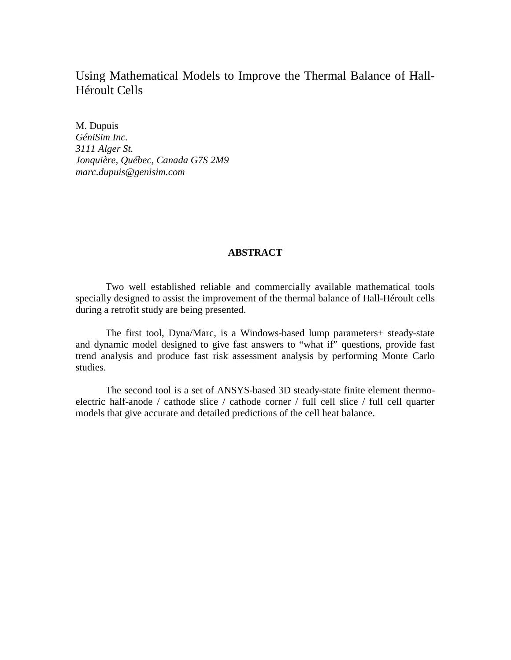# Using Mathematical Models to Improve the Thermal Balance of Hall-Héroult Cells

M. Dupuis *GéniSim Inc. 3111 Alger St. Jonquière, Québec, Canada G7S 2M9 marc.dupuis@genisim.com*

# **ABSTRACT**

Two well established reliable and commercially available mathematical tools specially designed to assist the improvement of the thermal balance of Hall-Héroult cells during a retrofit study are being presented.

The first tool, Dyna/Marc, is a Windows-based lump parameters+ steady-state and dynamic model designed to give fast answers to "what if" questions, provide fast trend analysis and produce fast risk assessment analysis by performing Monte Carlo studies.

The second tool is a set of ANSYS-based 3D steady-state finite element thermoelectric half-anode / cathode slice / cathode corner / full cell slice / full cell quarter models that give accurate and detailed predictions of the cell heat balance.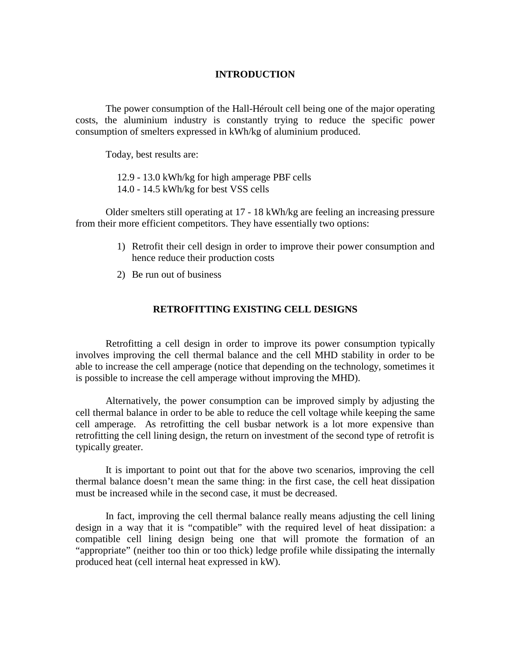# **INTRODUCTION**

The power consumption of the Hall-Héroult cell being one of the major operating costs, the aluminium industry is constantly trying to reduce the specific power consumption of smelters expressed in kWh/kg of aluminium produced.

Today, best results are:

12.9 - 13.0 kWh/kg for high amperage PBF cells

14.0 - 14.5 kWh/kg for best VSS cells

Older smelters still operating at 17 - 18 kWh/kg are feeling an increasing pressure from their more efficient competitors. They have essentially two options:

- 1) Retrofit their cell design in order to improve their power consumption and hence reduce their production costs
- 2) Be run out of business

# **RETROFITTING EXISTING CELL DESIGNS**

Retrofitting a cell design in order to improve its power consumption typically involves improving the cell thermal balance and the cell MHD stability in order to be able to increase the cell amperage (notice that depending on the technology, sometimes it is possible to increase the cell amperage without improving the MHD).

Alternatively, the power consumption can be improved simply by adjusting the cell thermal balance in order to be able to reduce the cell voltage while keeping the same cell amperage. As retrofitting the cell busbar network is a lot more expensive than retrofitting the cell lining design, the return on investment of the second type of retrofit is typically greater.

It is important to point out that for the above two scenarios, improving the cell thermal balance doesn't mean the same thing: in the first case, the cell heat dissipation must be increased while in the second case, it must be decreased.

In fact, improving the cell thermal balance really means adjusting the cell lining design in a way that it is "compatible" with the required level of heat dissipation: a compatible cell lining design being one that will promote the formation of an "appropriate" (neither too thin or too thick) ledge profile while dissipating the internally produced heat (cell internal heat expressed in kW).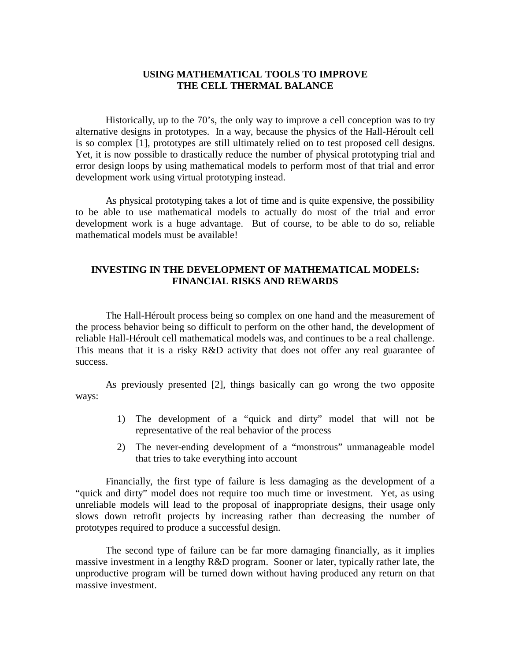# **USING MATHEMATICAL TOOLS TO IMPROVE THE CELL THERMAL BALANCE**

Historically, up to the 70's, the only way to improve a cell conception was to try alternative designs in prototypes. In a way, because the physics of the Hall-Héroult cell is so complex [1], prototypes are still ultimately relied on to test proposed cell designs. Yet, it is now possible to drastically reduce the number of physical prototyping trial and error design loops by using mathematical models to perform most of that trial and error development work using virtual prototyping instead.

As physical prototyping takes a lot of time and is quite expensive, the possibility to be able to use mathematical models to actually do most of the trial and error development work is a huge advantage. But of course, to be able to do so, reliable mathematical models must be available!

# **INVESTING IN THE DEVELOPMENT OF MATHEMATICAL MODELS: FINANCIAL RISKS AND REWARDS**

The Hall-Héroult process being so complex on one hand and the measurement of the process behavior being so difficult to perform on the other hand, the development of reliable Hall-Héroult cell mathematical models was, and continues to be a real challenge. This means that it is a risky R&D activity that does not offer any real guarantee of success.

As previously presented [2], things basically can go wrong the two opposite ways:

- 1) The development of a "quick and dirty" model that will not be representative of the real behavior of the process
- 2) The never-ending development of a "monstrous" unmanageable model that tries to take everything into account

Financially, the first type of failure is less damaging as the development of a "quick and dirty" model does not require too much time or investment. Yet, as using unreliable models will lead to the proposal of inappropriate designs, their usage only slows down retrofit projects by increasing rather than decreasing the number of prototypes required to produce a successful design.

The second type of failure can be far more damaging financially, as it implies massive investment in a lengthy R&D program. Sooner or later, typically rather late, the unproductive program will be turned down without having produced any return on that massive investment.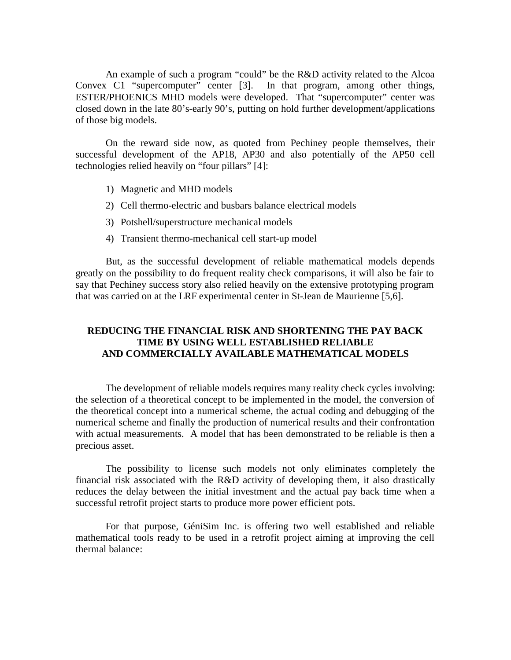An example of such a program "could" be the R&D activity related to the Alcoa Convex C1 "supercomputer" center [3]. In that program, among other things, ESTER/PHOENICS MHD models were developed. That "supercomputer" center was closed down in the late 80's-early 90's, putting on hold further development/applications of those big models.

On the reward side now, as quoted from Pechiney people themselves, their successful development of the AP18, AP30 and also potentially of the AP50 cell technologies relied heavily on "four pillars" [4]:

- 1) Magnetic and MHD models
- 2) Cell thermo-electric and busbars balance electrical models
- 3) Potshell/superstructure mechanical models
- 4) Transient thermo-mechanical cell start-up model

But, as the successful development of reliable mathematical models depends greatly on the possibility to do frequent reality check comparisons, it will also be fair to say that Pechiney success story also relied heavily on the extensive prototyping program that was carried on at the LRF experimental center in St-Jean de Maurienne [5,6].

# **REDUCING THE FINANCIAL RISK AND SHORTENING THE PAY BACK TIME BY USING WELL ESTABLISHED RELIABLE AND COMMERCIALLY AVAILABLE MATHEMATICAL MODELS**

The development of reliable models requires many reality check cycles involving: the selection of a theoretical concept to be implemented in the model, the conversion of the theoretical concept into a numerical scheme, the actual coding and debugging of the numerical scheme and finally the production of numerical results and their confrontation with actual measurements. A model that has been demonstrated to be reliable is then a precious asset.

The possibility to license such models not only eliminates completely the financial risk associated with the R&D activity of developing them, it also drastically reduces the delay between the initial investment and the actual pay back time when a successful retrofit project starts to produce more power efficient pots.

For that purpose, GéniSim Inc. is offering two well established and reliable mathematical tools ready to be used in a retrofit project aiming at improving the cell thermal balance: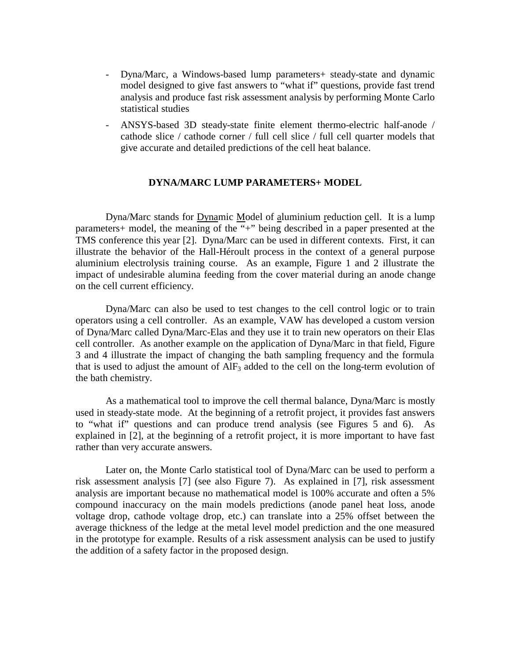- Dyna/Marc, a Windows-based lump parameters+ steady-state and dynamic model designed to give fast answers to "what if" questions, provide fast trend analysis and produce fast risk assessment analysis by performing Monte Carlo statistical studies
- ANSYS-based 3D steady-state finite element thermo-electric half-anode / cathode slice / cathode corner / full cell slice / full cell quarter models that give accurate and detailed predictions of the cell heat balance.

## **DYNA/MARC LUMP PARAMETERS+ MODEL**

Dyna/Marc stands for Dynamic Model of aluminium reduction cell. It is a lump parameters+ model, the meaning of the "+" being described in a paper presented at the TMS conference this year [2]. Dyna/Marc can be used in different contexts. First, it can illustrate the behavior of the Hall-Héroult process in the context of a general purpose aluminium electrolysis training course. As an example, Figure 1 and 2 illustrate the impact of undesirable alumina feeding from the cover material during an anode change on the cell current efficiency.

Dyna/Marc can also be used to test changes to the cell control logic or to train operators using a cell controller. As an example, VAW has developed a custom version of Dyna/Marc called Dyna/Marc-Elas and they use it to train new operators on their Elas cell controller. As another example on the application of Dyna/Marc in that field, Figure 3 and 4 illustrate the impact of changing the bath sampling frequency and the formula that is used to adjust the amount of  $\text{AlF}_3$  added to the cell on the long-term evolution of the bath chemistry.

As a mathematical tool to improve the cell thermal balance, Dyna/Marc is mostly used in steady-state mode. At the beginning of a retrofit project, it provides fast answers to "what if" questions and can produce trend analysis (see Figures 5 and 6). As explained in [2], at the beginning of a retrofit project, it is more important to have fast rather than very accurate answers.

Later on, the Monte Carlo statistical tool of Dyna/Marc can be used to perform a risk assessment analysis [7] (see also Figure 7). As explained in [7], risk assessment analysis are important because no mathematical model is 100% accurate and often a 5% compound inaccuracy on the main models predictions (anode panel heat loss, anode voltage drop, cathode voltage drop, etc.) can translate into a 25% offset between the average thickness of the ledge at the metal level model prediction and the one measured in the prototype for example. Results of a risk assessment analysis can be used to justify the addition of a safety factor in the proposed design.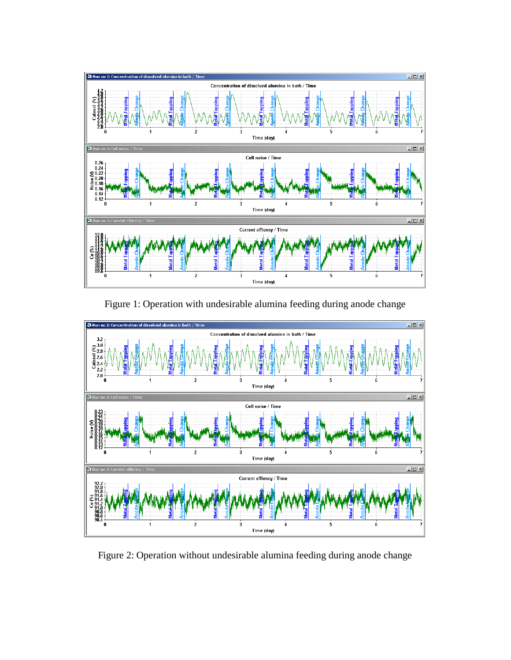

Figure 1: Operation with undesirable alumina feeding during anode change



Figure 2: Operation without undesirable alumina feeding during anode change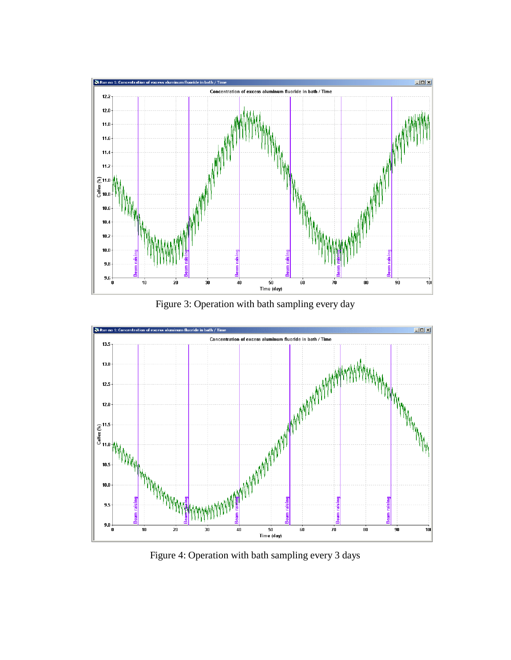

Figure 3: Operation with bath sampling every day



Figure 4: Operation with bath sampling every 3 days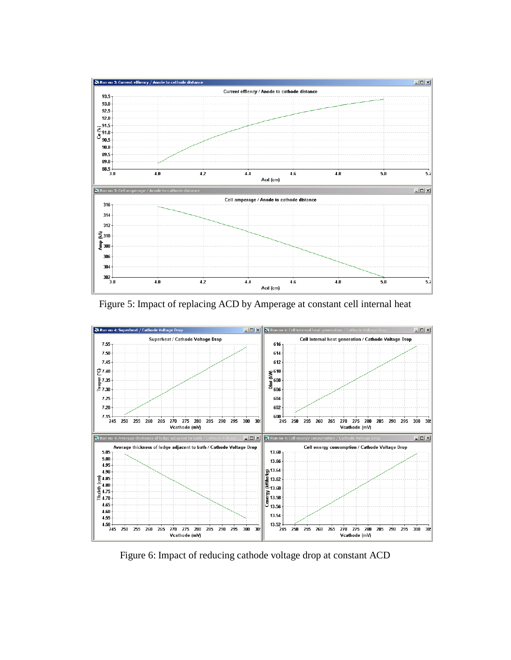

Figure 5: Impact of replacing ACD by Amperage at constant cell internal heat

![](_page_7_Figure_2.jpeg)

Figure 6: Impact of reducing cathode voltage drop at constant ACD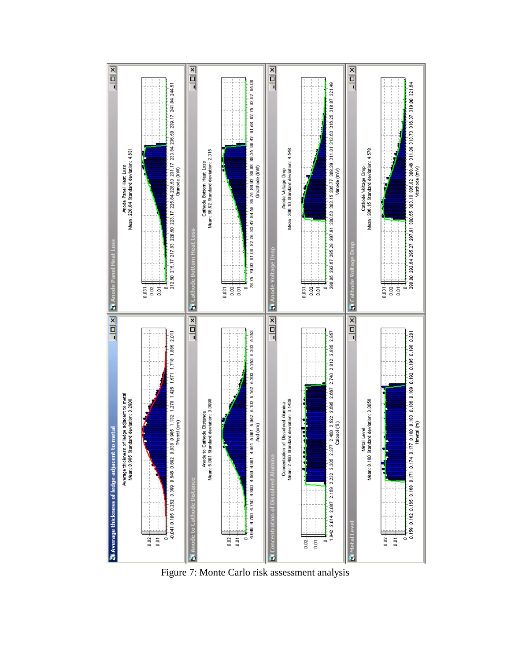![](_page_8_Figure_0.jpeg)

Figure 7: Monte Carlo risk assessment analysis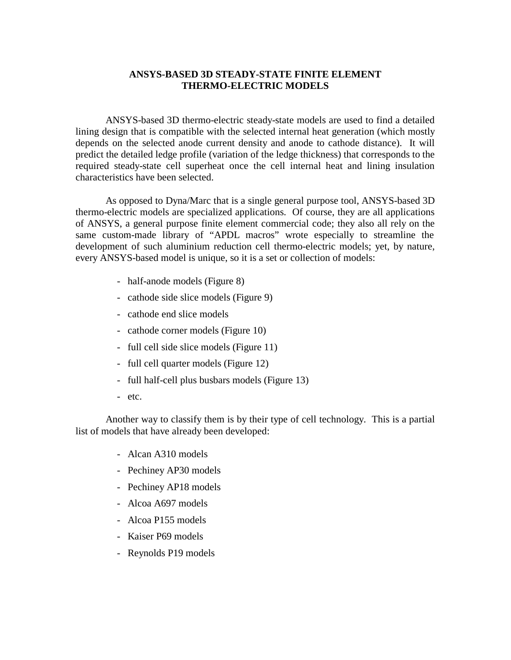# **ANSYS-BASED 3D STEADY-STATE FINITE ELEMENT THERMO-ELECTRIC MODELS**

ANSYS-based 3D thermo-electric steady-state models are used to find a detailed lining design that is compatible with the selected internal heat generation (which mostly depends on the selected anode current density and anode to cathode distance). It will predict the detailed ledge profile (variation of the ledge thickness) that corresponds to the required steady-state cell superheat once the cell internal heat and lining insulation characteristics have been selected.

As opposed to Dyna/Marc that is a single general purpose tool, ANSYS-based 3D thermo-electric models are specialized applications. Of course, they are all applications of ANSYS, a general purpose finite element commercial code; they also all rely on the same custom-made library of "APDL macros" wrote especially to streamline the development of such aluminium reduction cell thermo-electric models; yet, by nature, every ANSYS-based model is unique, so it is a set or collection of models:

- half-anode models (Figure 8)
- cathode side slice models (Figure 9)
- cathode end slice models
- cathode corner models (Figure 10)
- full cell side slice models (Figure 11)
- full cell quarter models (Figure 12)
- full half-cell plus busbars models (Figure 13)
- etc.

Another way to classify them is by their type of cell technology. This is a partial list of models that have already been developed:

- Alcan A310 models
- Pechiney AP30 models
- Pechiney AP18 models
- Alcoa A697 models
- Alcoa P155 models
- Kaiser P69 models
- Reynolds P19 models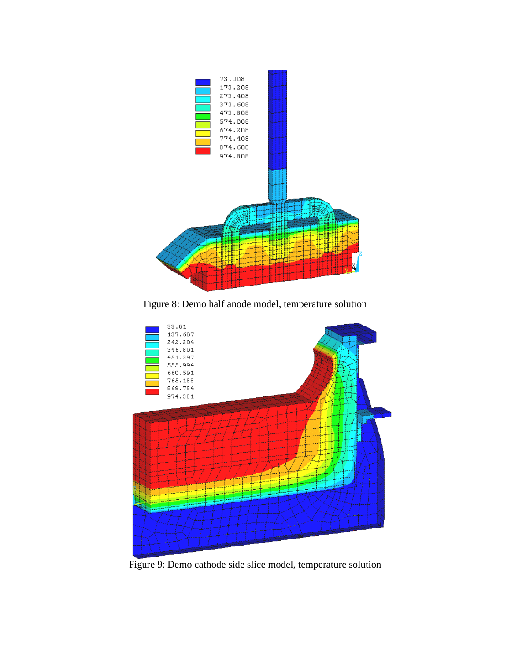![](_page_10_Figure_0.jpeg)

Figure 8: Demo half anode model, temperature solution

![](_page_10_Figure_2.jpeg)

Figure 9: Demo cathode side slice model, temperature solution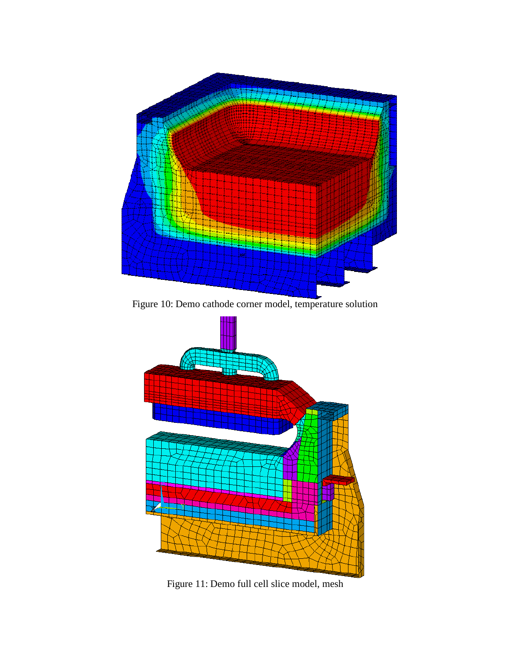![](_page_11_Figure_0.jpeg)

Figure 10: Demo cathode corner model, temperature solution

![](_page_11_Figure_2.jpeg)

Figure 11: Demo full cell slice model, mesh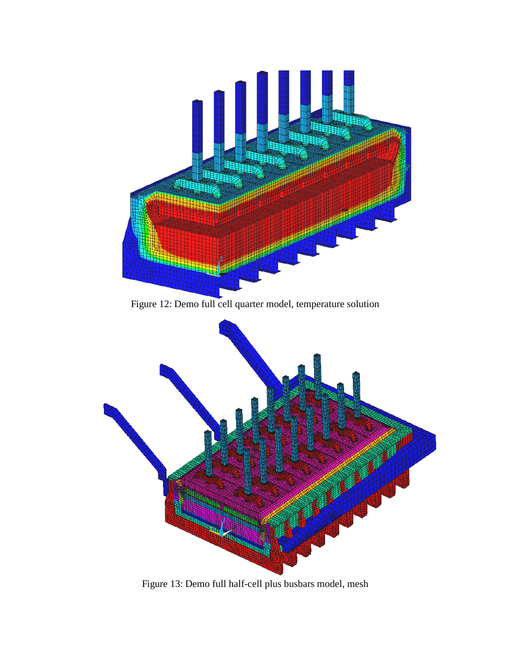![](_page_12_Figure_0.jpeg)

Figure 13: Demo full half-cell plus busbars model, mesh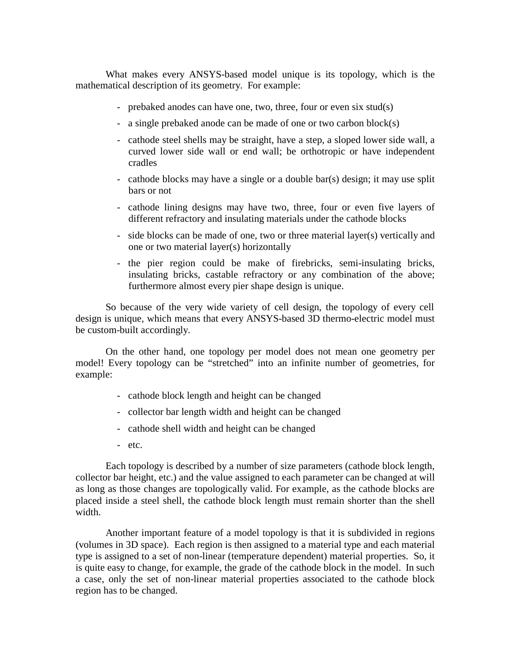What makes every ANSYS-based model unique is its topology, which is the mathematical description of its geometry. For example:

- prebaked anodes can have one, two, three, four or even six stud(s)
- a single prebaked anode can be made of one or two carbon block(s)
- cathode steel shells may be straight, have a step, a sloped lower side wall, a curved lower side wall or end wall; be orthotropic or have independent cradles
- cathode blocks may have a single or a double bar(s) design; it may use split bars or not
- cathode lining designs may have two, three, four or even five layers of different refractory and insulating materials under the cathode blocks
- side blocks can be made of one, two or three material layer(s) vertically and one or two material layer(s) horizontally
- the pier region could be make of firebricks, semi-insulating bricks, insulating bricks, castable refractory or any combination of the above; furthermore almost every pier shape design is unique.

So because of the very wide variety of cell design, the topology of every cell design is unique, which means that every ANSYS-based 3D thermo-electric model must be custom-built accordingly.

On the other hand, one topology per model does not mean one geometry per model! Every topology can be "stretched" into an infinite number of geometries, for example:

- cathode block length and height can be changed
- collector bar length width and height can be changed
- cathode shell width and height can be changed
- etc.

Each topology is described by a number of size parameters (cathode block length, collector bar height, etc.) and the value assigned to each parameter can be changed at will as long as those changes are topologically valid. For example, as the cathode blocks are placed inside a steel shell, the cathode block length must remain shorter than the shell width.

Another important feature of a model topology is that it is subdivided in regions (volumes in 3D space). Each region is then assigned to a material type and each material type is assigned to a set of non-linear (temperature dependent) material properties. So, it is quite easy to change, for example, the grade of the cathode block in the model. In such a case, only the set of non-linear material properties associated to the cathode block region has to be changed.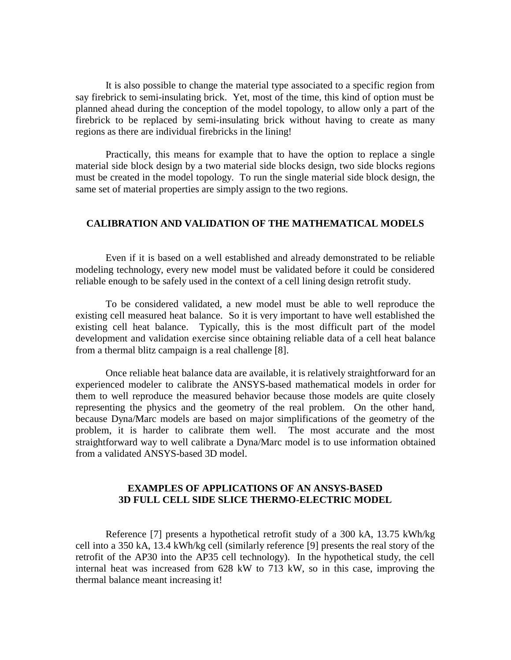It is also possible to change the material type associated to a specific region from say firebrick to semi-insulating brick. Yet, most of the time, this kind of option must be planned ahead during the conception of the model topology, to allow only a part of the firebrick to be replaced by semi-insulating brick without having to create as many regions as there are individual firebricks in the lining!

Practically, this means for example that to have the option to replace a single material side block design by a two material side blocks design, two side blocks regions must be created in the model topology. To run the single material side block design, the same set of material properties are simply assign to the two regions.

#### **CALIBRATION AND VALIDATION OF THE MATHEMATICAL MODELS**

Even if it is based on a well established and already demonstrated to be reliable modeling technology, every new model must be validated before it could be considered reliable enough to be safely used in the context of a cell lining design retrofit study.

To be considered validated, a new model must be able to well reproduce the existing cell measured heat balance. So it is very important to have well established the existing cell heat balance. Typically, this is the most difficult part of the model development and validation exercise since obtaining reliable data of a cell heat balance from a thermal blitz campaign is a real challenge [8].

Once reliable heat balance data are available, it is relatively straightforward for an experienced modeler to calibrate the ANSYS-based mathematical models in order for them to well reproduce the measured behavior because those models are quite closely representing the physics and the geometry of the real problem. On the other hand, because Dyna/Marc models are based on major simplifications of the geometry of the problem, it is harder to calibrate them well. The most accurate and the most straightforward way to well calibrate a Dyna/Marc model is to use information obtained from a validated ANSYS-based 3D model.

# **EXAMPLES OF APPLICATIONS OF AN ANSYS-BASED 3D FULL CELL SIDE SLICE THERMO-ELECTRIC MODEL**

Reference [7] presents a hypothetical retrofit study of a 300 kA, 13.75 kWh/kg cell into a 350 kA, 13.4 kWh/kg cell (similarly reference [9] presents the real story of the retrofit of the AP30 into the AP35 cell technology). In the hypothetical study, the cell internal heat was increased from 628 kW to 713 kW, so in this case, improving the thermal balance meant increasing it!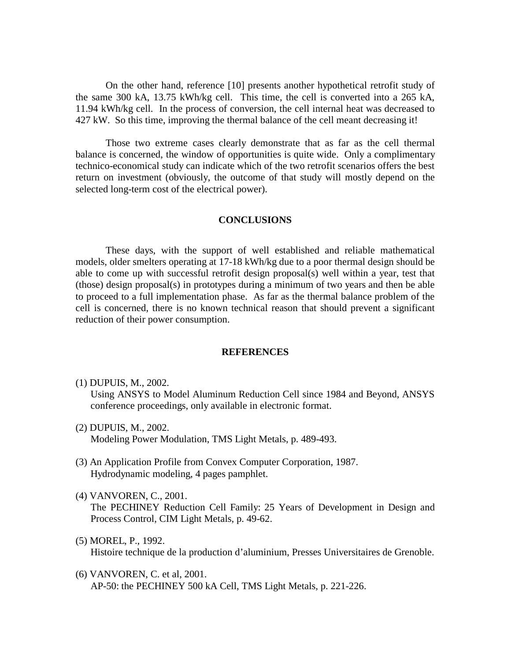On the other hand, reference [10] presents another hypothetical retrofit study of the same 300 kA, 13.75 kWh/kg cell. This time, the cell is converted into a 265 kA, 11.94 kWh/kg cell. In the process of conversion, the cell internal heat was decreased to 427 kW. So this time, improving the thermal balance of the cell meant decreasing it!

Those two extreme cases clearly demonstrate that as far as the cell thermal balance is concerned, the window of opportunities is quite wide. Only a complimentary technico-economical study can indicate which of the two retrofit scenarios offers the best return on investment (obviously, the outcome of that study will mostly depend on the selected long-term cost of the electrical power).

#### **CONCLUSIONS**

These days, with the support of well established and reliable mathematical models, older smelters operating at 17-18 kWh/kg due to a poor thermal design should be able to come up with successful retrofit design proposal(s) well within a year, test that (those) design proposal(s) in prototypes during a minimum of two years and then be able to proceed to a full implementation phase. As far as the thermal balance problem of the cell is concerned, there is no known technical reason that should prevent a significant reduction of their power consumption.

#### **REFERENCES**

(1) DUPUIS, M., 2002.

Using ANSYS to Model Aluminum Reduction Cell since 1984 and Beyond, ANSYS conference proceedings, only available in electronic format.

- (2) DUPUIS, M., 2002. Modeling Power Modulation, TMS Light Metals, p. 489-493.
- (3) An Application Profile from Convex Computer Corporation, 1987. Hydrodynamic modeling, 4 pages pamphlet.
- (4) VANVOREN, C., 2001.

The PECHINEY Reduction Cell Family: 25 Years of Development in Design and Process Control, CIM Light Metals, p. 49-62.

- (5) MOREL, P., 1992. Histoire technique de la production d'aluminium, Presses Universitaires de Grenoble.
- (6) VANVOREN, C. et al, 2001. AP-50: the PECHINEY 500 kA Cell, TMS Light Metals, p. 221-226.